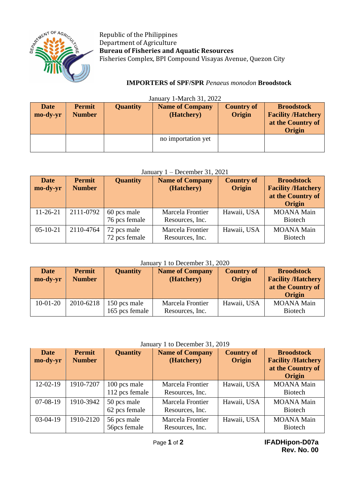

Republic of the Philippines Department of Agriculture **Bureau of Fisheries and Aquatic Resources** Fisheries Complex, BPI Compound Visayas Avenue, Quezon City

# **IMPORTERS of SPF/SPR** *Penaeus monodon* **Broodstock**

| <b>Date</b><br>mo-dy-yr | <b>Permit</b><br><b>Number</b> | <b>Quantity</b> | <b>Name of Company</b><br>(Hatchery) | <b>Country of</b><br>Origin | <b>Broodstock</b><br><b>Facility /Hatchery</b><br>at the Country of<br><b>Origin</b> |
|-------------------------|--------------------------------|-----------------|--------------------------------------|-----------------------------|--------------------------------------------------------------------------------------|
|                         |                                |                 | no importation yet                   |                             |                                                                                      |

# $J_{\text{source}} = 1 \text{ M}_{\text{cycle}} 21, 2022$

### January 1 – December 31, 2021

| <b>Date</b><br>mo-dy-yr | <b>Permit</b><br><b>Number</b> | <b>Quantity</b>              | <b>Name of Company</b><br>(Hatchery) | <b>Country of</b><br>Origin | <b>Broodstock</b><br><b>Facility /Hatchery</b><br>at the Country of<br>Origin |
|-------------------------|--------------------------------|------------------------------|--------------------------------------|-----------------------------|-------------------------------------------------------------------------------|
| $11-26-21$              | 2111-0792                      | 60 pcs male<br>76 pcs female | Marcela Frontier<br>Resources, Inc.  | Hawaii, USA                 | <b>MOANA Main</b><br><b>Biotech</b>                                           |
| $05-10-21$              | 2110-4764                      | 72 pcs male<br>72 pcs female | Marcela Frontier<br>Resources, Inc.  | Hawaii, USA                 | <b>MOANA</b> Main<br><b>Biotech</b>                                           |

## January 1 to December 31, 2020

| <b>Date</b><br>mo-dy-yr | <b>Permit</b><br><b>Number</b> | <b>Quantity</b>                | <b>Name of Company</b><br>(Hatchery) | <b>Country of</b><br>Origin | <b>Broodstock</b><br><b>Facility /Hatchery</b><br>at the Country of<br>Origin |
|-------------------------|--------------------------------|--------------------------------|--------------------------------------|-----------------------------|-------------------------------------------------------------------------------|
| $10-01-20$              | 2010-6218                      | 150 pcs male<br>165 pcs female | Marcela Frontier<br>Resources, Inc.  | Hawaii, USA                 | <b>MOANA Main</b><br><b>Biotech</b>                                           |

### January 1 to December 31, 2019

| <b>Date</b><br>mo-dy-yr | <b>Permit</b><br><b>Number</b> | <b>Quantity</b>                | <b>Name of Company</b><br>(Hatchery) | <b>Country of</b><br>Origin | <b>Broodstock</b><br><b>Facility /Hatchery</b><br>at the Country of<br>Origin |
|-------------------------|--------------------------------|--------------------------------|--------------------------------------|-----------------------------|-------------------------------------------------------------------------------|
| 12-02-19                | 1910-7207                      | 100 pcs male<br>112 pcs female | Marcela Frontier<br>Resources, Inc.  | Hawaii, USA                 | <b>MOANA</b> Main<br><b>Biotech</b>                                           |
| $07-08-19$              | 1910-3942                      | 50 pcs male<br>62 pcs female   | Marcela Frontier<br>Resources, Inc.  | Hawaii, USA                 | <b>MOANA</b> Main<br><b>Biotech</b>                                           |
| $03-04-19$              | 1910-2120                      | 56 pcs male<br>56pcs female    | Marcela Frontier<br>Resources, Inc.  | Hawaii, USA                 | <b>MOANA</b> Main<br><b>Biotech</b>                                           |

 Page **1** of **2 IFADHipon-D07a Rev. No. 00**